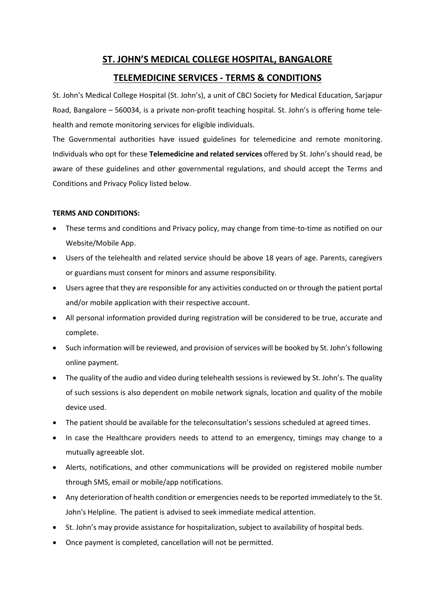# **ST. JOHN'S MEDICAL COLLEGE HOSPITAL, BANGALORE**

## **TELEMEDICINE SERVICES - TERMS & CONDITIONS**

St. John's Medical College Hospital (St. John's), a unit of CBCI Society for Medical Education, Sarjapur Road, Bangalore – 560034, is a private non-profit teaching hospital. St. John's is offering home telehealth and remote monitoring services for eligible individuals.

The Governmental authorities have issued guidelines for telemedicine and remote monitoring. Individuals who opt for these **Telemedicine and related services** offered by St. John's should read, be aware of these guidelines and other governmental regulations, and should accept the Terms and Conditions and Privacy Policy listed below.

## **TERMS AND CONDITIONS:**

- These terms and conditions and Privacy policy, may change from time-to-time as notified on our Website/Mobile App.
- Users of the telehealth and related service should be above 18 years of age. Parents, caregivers or guardians must consent for minors and assume responsibility.
- Users agree that they are responsible for any activities conducted on or through the patient portal and/or mobile application with their respective account.
- All personal information provided during registration will be considered to be true, accurate and complete.
- Such information will be reviewed, and provision of services will be booked by St. John's following online payment.
- The quality of the audio and video during telehealth sessions is reviewed by St. John's. The quality of such sessions is also dependent on mobile network signals, location and quality of the mobile device used.
- The patient should be available for the teleconsultation's sessions scheduled at agreed times.
- In case the Healthcare providers needs to attend to an emergency, timings may change to a mutually agreeable slot.
- Alerts, notifications, and other communications will be provided on registered mobile number through SMS, email or mobile/app notifications.
- Any deterioration of health condition or emergencies needs to be reported immediately to the St. John's Helpline. The patient is advised to seek immediate medical attention.
- St. John's may provide assistance for hospitalization, subject to availability of hospital beds.
- Once payment is completed, cancellation will not be permitted.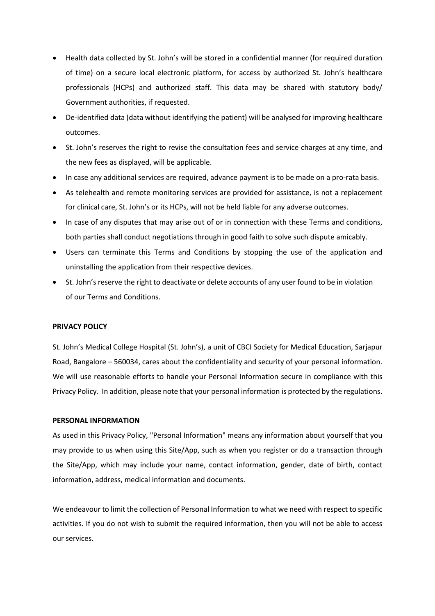- Health data collected by St. John's will be stored in a confidential manner (for required duration of time) on a secure local electronic platform, for access by authorized St. John's healthcare professionals (HCPs) and authorized staff. This data may be shared with statutory body/ Government authorities, if requested.
- De-identified data (data without identifying the patient) will be analysed for improving healthcare outcomes.
- St. John's reserves the right to revise the consultation fees and service charges at any time, and the new fees as displayed, will be applicable.
- In case any additional services are required, advance payment is to be made on a pro-rata basis.
- As telehealth and remote monitoring services are provided for assistance, is not a replacement for clinical care, St. John's or its HCPs, will not be held liable for any adverse outcomes.
- In case of any disputes that may arise out of or in connection with these Terms and conditions, both parties shall conduct negotiations through in good faith to solve such dispute amicably.
- Users can terminate this Terms and Conditions by stopping the use of the application and uninstalling the application from their respective devices.
- St. John's reserve the right to deactivate or delete accounts of any user found to be in violation of our Terms and Conditions.

### **PRIVACY POLICY**

St. John's Medical College Hospital (St. John's), a unit of CBCI Society for Medical Education, Sarjapur Road, Bangalore – 560034, cares about the confidentiality and security of your personal information. We will use reasonable efforts to handle your Personal Information secure in compliance with this Privacy Policy. In addition, please note that your personal information is protected by the regulations.

### **PERSONAL INFORMATION**

As used in this Privacy Policy, "Personal Information" means any information about yourself that you may provide to us when using this Site/App, such as when you register or do a transaction through the Site/App, which may include your name, contact information, gender, date of birth, contact information, address, medical information and documents.

We endeavour to limit the collection of Personal Information to what we need with respect to specific activities. If you do not wish to submit the required information, then you will not be able to access our services.